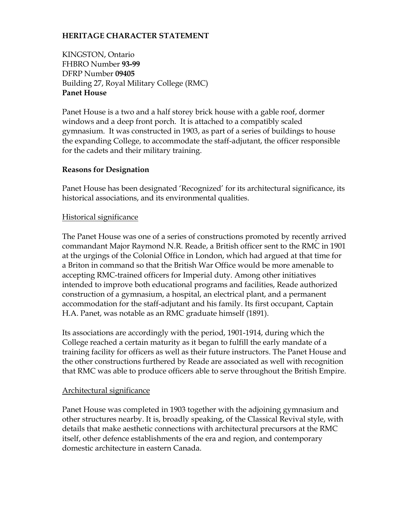# **HERITAGE CHARACTER STATEMENT**

KINGSTON, Ontario FHBRO Number **93-99**  DFRP Number **09405** Building 27, Royal Military College (RMC) **Panet House** 

Panet House is a two and a half storey brick house with a gable roof, dormer windows and a deep front porch. It is attached to a compatibly scaled gymnasium. It was constructed in 1903, as part of a series of buildings to house the expanding College, to accommodate the staff-adjutant, the officer responsible for the cadets and their military training.

# **Reasons for Designation**

Panet House has been designated 'Recognized' for its architectural significance, its historical associations, and its environmental qualities.

# Historical significance

The Panet House was one of a series of constructions promoted by recently arrived commandant Major Raymond N.R. Reade, a British officer sent to the RMC in 1901 at the urgings of the Colonial Office in London, which had argued at that time for a Briton in command so that the British War Office would be more amenable to accepting RMC-trained officers for Imperial duty. Among other initiatives intended to improve both educational programs and facilities, Reade authorized construction of a gymnasium, a hospital, an electrical plant, and a permanent accommodation for the staff-adjutant and his family. Its first occupant, Captain H.A. Panet, was notable as an RMC graduate himself (1891).

Its associations are accordingly with the period, 1901-1914, during which the College reached a certain maturity as it began to fulfill the early mandate of a training facility for officers as well as their future instructors. The Panet House and the other constructions furthered by Reade are associated as well with recognition that RMC was able to produce officers able to serve throughout the British Empire.

# Architectural significance

Panet House was completed in 1903 together with the adjoining gymnasium and other structures nearby. It is, broadly speaking, of the Classical Revival style, with details that make aesthetic connections with architectural precursors at the RMC itself, other defence establishments of the era and region, and contemporary domestic architecture in eastern Canada.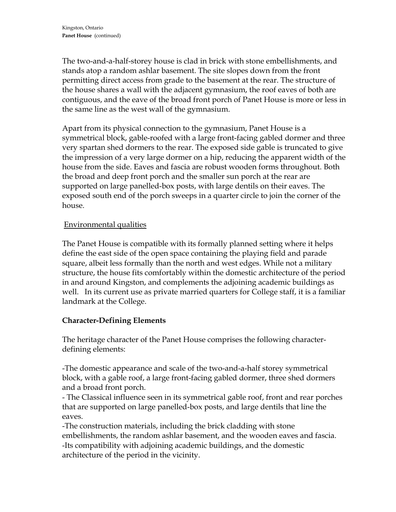The two-and-a-half-storey house is clad in brick with stone embellishments, and stands atop a random ashlar basement. The site slopes down from the front permitting direct access from grade to the basement at the rear. The structure of the house shares a wall with the adjacent gymnasium, the roof eaves of both are contiguous, and the eave of the broad front porch of Panet House is more or less in the same line as the west wall of the gymnasium.

Apart from its physical connection to the gymnasium, Panet House is a symmetrical block, gable-roofed with a large front-facing gabled dormer and three very spartan shed dormers to the rear. The exposed side gable is truncated to give the impression of a very large dormer on a hip, reducing the apparent width of the house from the side. Eaves and fascia are robust wooden forms throughout. Both the broad and deep front porch and the smaller sun porch at the rear are supported on large panelled-box posts, with large dentils on their eaves. The exposed south end of the porch sweeps in a quarter circle to join the corner of the house.

# Environmental qualities

The Panet House is compatible with its formally planned setting where it helps define the east side of the open space containing the playing field and parade square, albeit less formally than the north and west edges. While not a military structure, the house fits comfortably within the domestic architecture of the period in and around Kingston, and complements the adjoining academic buildings as well. In its current use as private married quarters for College staff, it is a familiar landmark at the College.

#### **Character-Defining Elements**

The heritage character of the Panet House comprises the following characterdefining elements:

-The domestic appearance and scale of the two-and-a-half storey symmetrical block, with a gable roof, a large front-facing gabled dormer, three shed dormers and a broad front porch.

- The Classical influence seen in its symmetrical gable roof, front and rear porches that are supported on large panelled-box posts, and large dentils that line the eaves.

-The construction materials, including the brick cladding with stone embellishments, the random ashlar basement, and the wooden eaves and fascia. -Its compatibility with adjoining academic buildings, and the domestic architecture of the period in the vicinity.